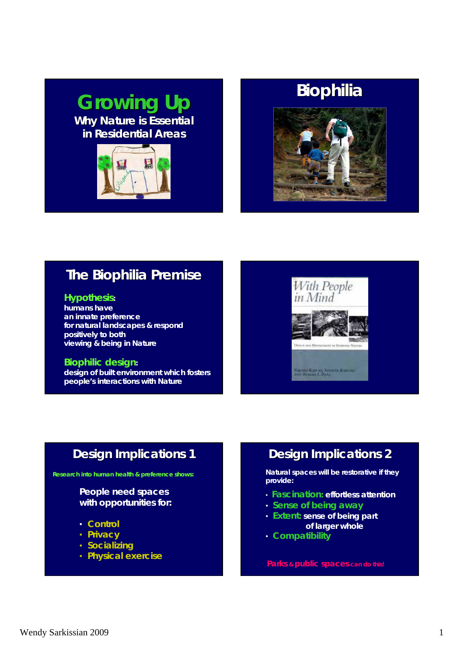# *Growing Up Growing Up* **Why Nature is Essential in Residential Areas in Residential Areas**







# **The Biophilia Premise The Biophilia Premise**

### *Hypothesis***:**

**humans have an innate preference for natural landscapes & respond positively to both viewing & being in Nature** 

### *Biophilic design***:**

**design of built environment which fosters people's interactions with Nature** 



# **Design Implications 1 Design Implications 1**

**Research into human health & preference shows:**

### **People need spaces with opportunities for:**

- *Control*
- *Privacy*
- *Socializing*
- *Physical exercise*

# **Design Implications 2 Design Implications 2**

**Natural spaces will be restorative if they provide:**

- *Fascination***: effortless attention**
- *Sense of being away*
- *Extent***: sense of being part of larger whole**
- *Compatibility*

**Parks & public spaces can do this!**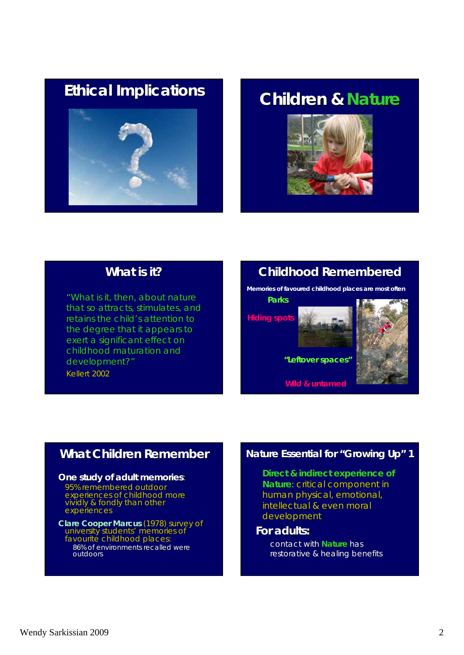# *Ethical Ethical* **Implications Implications Children & Children &** *Nature*





### **What is it? What is it?**

*"What is it, then, about nature What is it, then, about nature*  that so attracts, stimulates, and *retains the child's attention to the degree that it appears to exert a significant effect on childhood maturation and childhood maturation and development?"* Kellert 2002

# **Childhood Remembered Childhood Remembered**

**Memories of favoured childhood places are most often**

**Parks**

**Hiding spots**



**"Leftover spaces"**

**Wild & untamed**



# **What Children Remember What Children Remember**

#### **One study of adult memories:**

95% remembered outdoor 95% remembered outdoor experiences of childhood more vividly & fondly than other experiences

### **Clare Cooper Marcus** (1978) survey of university students' memories of favourité childhood places: 86% of environments recalled were outdoors outdoors

### **Nature Essential for "Growing Up" 1**

**Direct & indirect experience of Nature: critical component in :** human physical, emotional, intellectual & even moral development

### **For adults: For adults:**

contact with **Nature** has restorative & healing benefits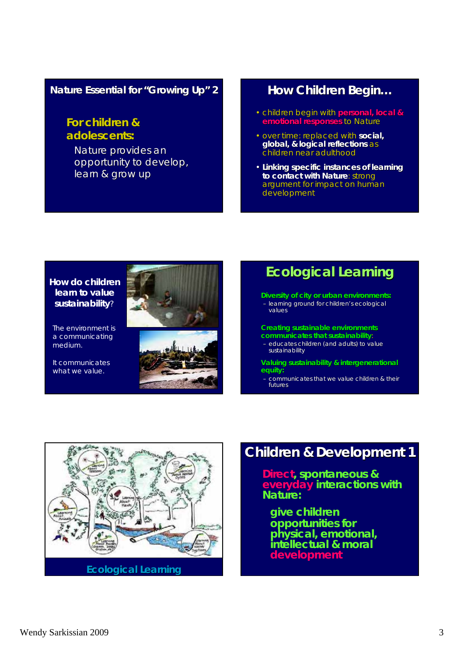### **Nature Essential for "Growing Up" 2**

### **For children & For children & adolescents: adolescents:**

Nature provides an opportunity to develop, learn & grow up

### **How Children Begin...**

- children begin with **personal**, local & **emotional responses emotional responses**to Nature
- over time: replaced with **social, global, & logical reflections logical reflections** as children near adulthood
- **Linking specific instances of learning Linking specific instances of learning to contact with Nature: strong** argument for impact on human development

### **How do children learn to value sustainability**?

The environment is a communicating medium.

It communicates what we value.



# **Ecological Learning Ecological Learning**

**Diversity of city or urban environments:** 

- learning ground for children's ecological values

#### **Creating sustainable environments communicates that sustainability**:

– educates children (and adults) to value sustainability

**Valuing sustainability & intergenerational Valuing sustainability & intergenerational equity: equity:**

- communicates that we value children & their futures



# **Children & Development 1 & Development 1**

**Direct, spontaneous & everyday interactions with Nature:**

**give children opportunities for physical, emotional, intellectual & moral development**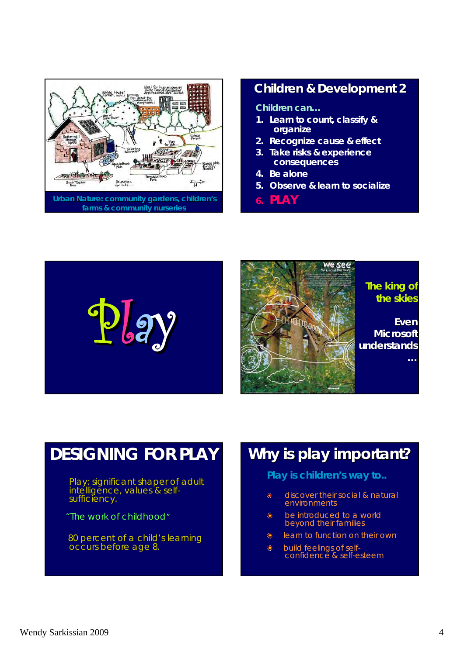

### **Children & Development 2 Children & Development 2**

### **Children can…**

- **1. Learn to count, classify & organize**
- **2. Recognize cause & effect**
- **3. Take risks & experience consequences**
- **4. Be alone**
- **5. Observe & learn to socialize**
- **6. PLAY**





### *The king of The king of the skies the skies*

**Even Microsoft Microsoft understands understands**

**…**

# **DESIGNING FOR PLAY DESIGNING FOR PLAY**

Play: significant shaper of adult intelligence, values & self-<br>sufficiency.

"The work of childhood"

80 percent of a child's learning occurs before age 8.

# **Why is play important? Why is play important?**

### **Play is children's way to..**

- discover their social & natural  $\bullet$ environments
- $\bigcirc$ be introduced to a world beyond their families
- $\bullet$ learn to function on their own
- $\bigcirc$ build feelings of selfconfidence & self-esteem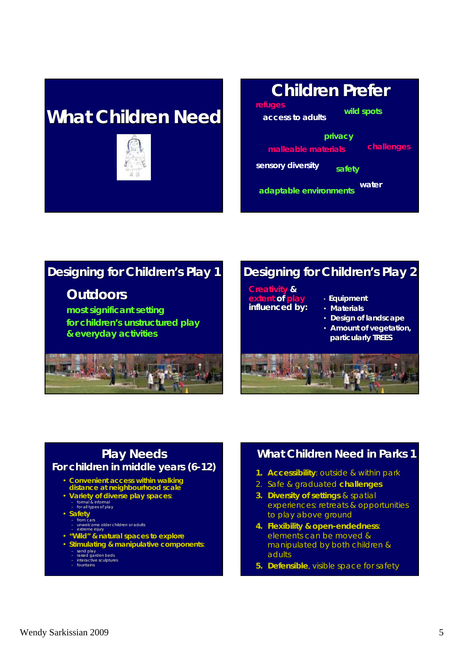# **What Children Need What Children Need**



### **Children Prefer Children Prefer refuges malleable materials wild spots water adaptable environments privacy access to adults challenges sensory diversity safety**

# **Designing for Children's Play 1**

## *Outdoors Outdoors*

**most significant setting most significant setting**  for children's unstructured play **& everyday activities & everyday activities** 



# **Designing for Children's Play 2**

**Creativity Creativity & extent of play influenced by: influenced by:**

### • **Equipment Equipment**

- **Materials**
- **Design of landscape**
- Amount of vegetation, **particularly TREES**



# **Play Needs Play Needs**

### **For children in middle years (6-12)**

- Convenient access within walking **distance at neighbourhood scale**
- **Variety of diverse play spaces**: formal & informal for all types of play
	-
	-
- **Safety**  from cars unwelcome older children or adults extreme injury
- **"Wild" & natural spaces to explore**
- **Stimulating & manipulative components**:
	- sand play raised garden beds interactive sculptures
	-

#### – fountains

### **What Children Need in Parks 1**

- **1. Accessibility**: outside & within park
- 2. Safe & graduated Safe & graduated **challenges challenges**
- **3. Diversity of settings** & spatial experiences: retreats & opportunities to play above ground
- **4. Flexibility & open-endedness:** elements can be moved & manipulated by both children & manipulated by both children & adults
- **5. Defensible**, visible space for safety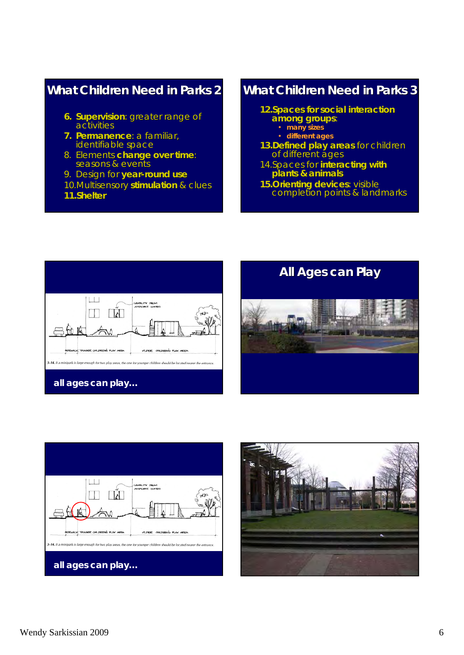## **What Children Need in Parks 2**

- **6. Supervision**: greater range of activities
- **7. Permanence**: a familiar, identifiable space
- 8. Elements change over time: seasons & events
- 9. Design for year-round use
- 10.Multisensory **stimulation** & clues
- **11.Shelter Shelter**

# **What Children Need in Parks 3**

- **12.Spaces for social interaction among groups among groups**:
	- **many sizes**
	- **different ages**
- **13.Defined play areas** for children of different ages
- 14.Spaces for **interacting with plants & animals**
- **15. Orienting devices: visible** completion points & landmarks completion points & landmarks







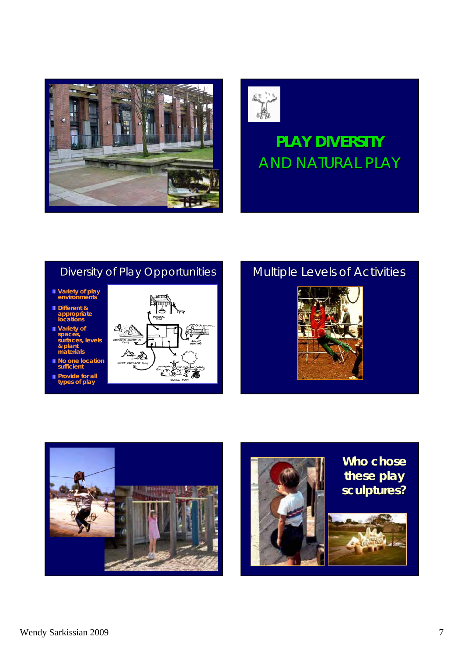



# **PLAY DIVERSITY PLAY DIVERSITY** AND NATURAL PLAY

# Diversity of Play Opportunities

- **Variety of play environments**
- **Different & appropriate locations**
- **Variety of spaces, surfaces, levels & plant materials**
- **No one location sufficient**
- **Provide for all types of play**



# Multiple Levels of Activities





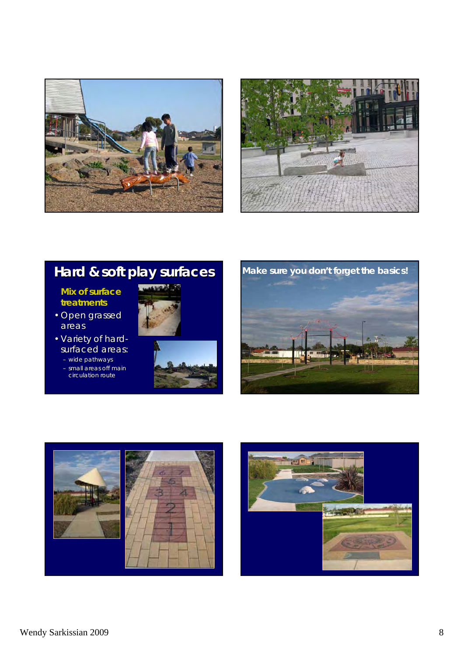



# **Hard & soft play surfaces Hard & soft play surfaces**

### **Mix of surface treatments**

- Open grassed areas
- Variety of hardsurfaced areas:
	- wide pathways
	- small areas off main circulation route









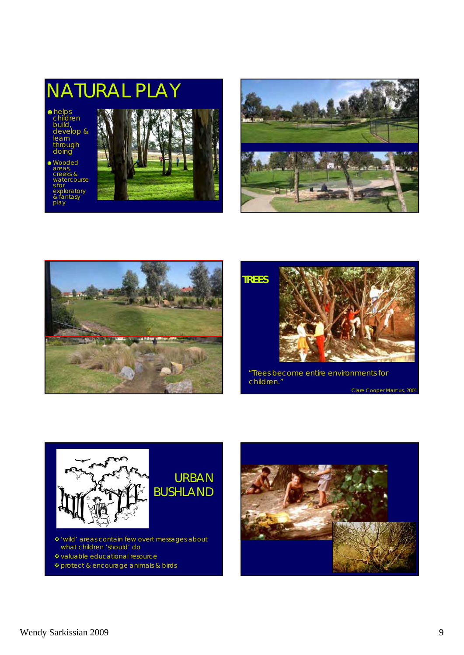







*"Trees become entire environments for Trees become entire environments for children. children."* Clare Cooper Marcus, 2001



# URBAN BUSHLAND

- 'wild' areas contain few overt messages about what children 'should' do
- valuable educational resource
- protect & encourage animals & birds

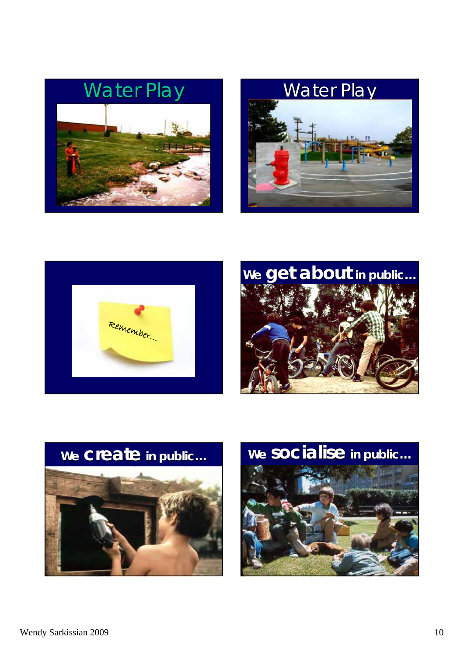









**We create in public in public… We socialise socialise in public in public…**

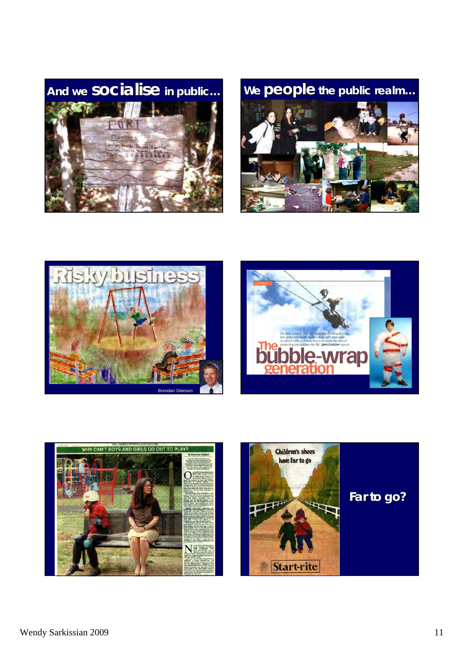